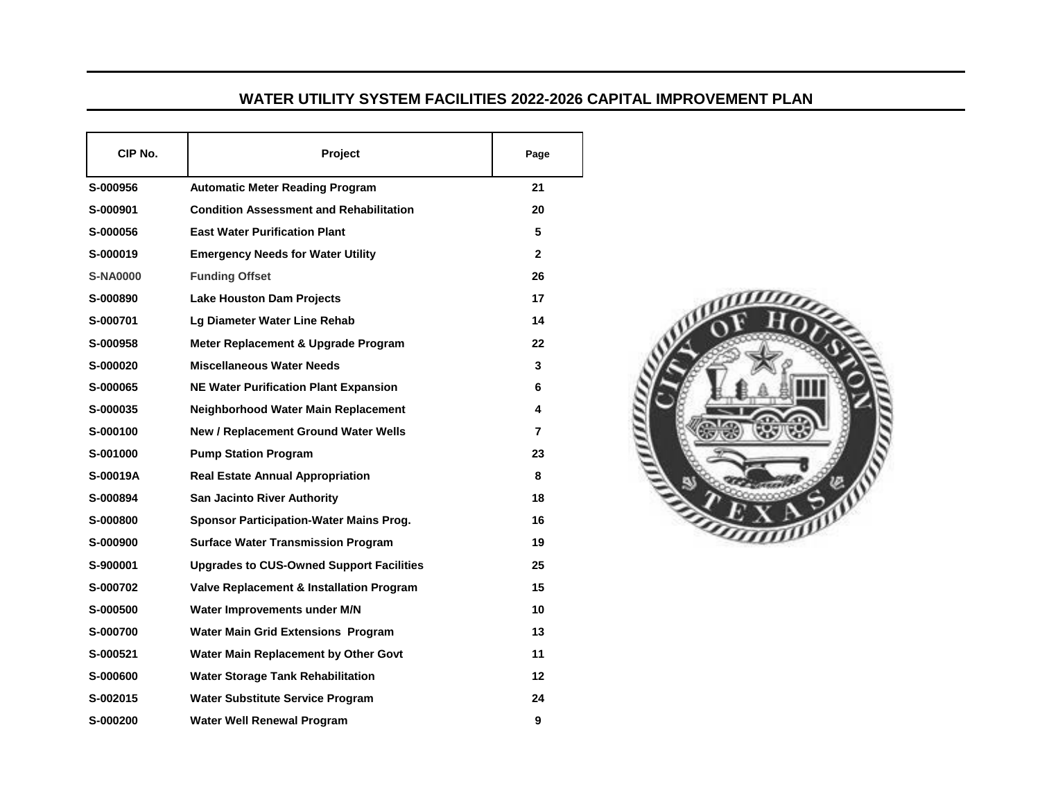## **WATER UTILITY SYSTEM FACILITIES 2022-2026 CAPITAL IMPROVEMENT PLAN**

| CIP No.         | <b>Project</b>                                  | Page         |
|-----------------|-------------------------------------------------|--------------|
| S-000956        | <b>Automatic Meter Reading Program</b>          | 21           |
| S-000901        | <b>Condition Assessment and Rehabilitation</b>  | 20           |
| S-000056        | <b>East Water Purification Plant</b>            | 5            |
| S-000019        | <b>Emergency Needs for Water Utility</b>        | $\mathbf{2}$ |
| <b>S-NA0000</b> | <b>Funding Offset</b>                           | 26           |
| S-000890        | <b>Lake Houston Dam Projects</b>                | 17           |
| S-000701        | Lg Diameter Water Line Rehab                    | 14           |
| S-000958        | Meter Replacement & Upgrade Program             | 22           |
| S-000020        | <b>Miscellaneous Water Needs</b>                | 3            |
| S-000065        | <b>NE Water Purification Plant Expansion</b>    | 6            |
| S-000035        | Neighborhood Water Main Replacement             | 4            |
| S-000100        | <b>New / Replacement Ground Water Wells</b>     | 7            |
| S-001000        | <b>Pump Station Program</b>                     | 23           |
| S-00019A        | <b>Real Estate Annual Appropriation</b>         | 8            |
| S-000894        | <b>San Jacinto River Authority</b>              | 18           |
| S-000800        | <b>Sponsor Participation-Water Mains Prog.</b>  | 16           |
| S-000900        | <b>Surface Water Transmission Program</b>       | 19           |
| S-900001        | <b>Upgrades to CUS-Owned Support Facilities</b> | 25           |
| S-000702        | Valve Replacement & Installation Program        | 15           |
| S-000500        | Water Improvements under M/N                    | 10           |
| S-000700        | <b>Water Main Grid Extensions Program</b>       | 13           |
| S-000521        | Water Main Replacement by Other Govt            | 11           |
| S-000600        | <b>Water Storage Tank Rehabilitation</b>        | 12           |
| S-002015        | <b>Water Substitute Service Program</b>         | 24           |
| S-000200        | <b>Water Well Renewal Program</b>               | 9            |

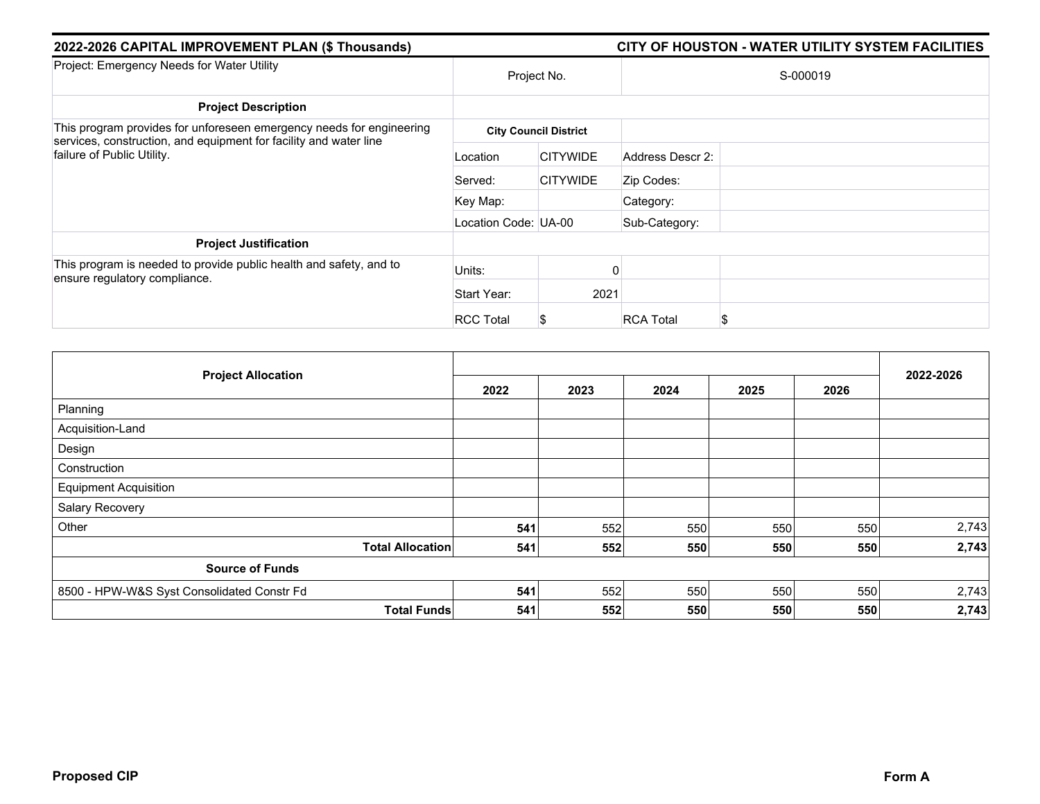| 2022-2026 CAPITAL IMPROVEMENT PLAN (\$ Thousands)                                               | CITY OF HOUSTON - WATER UTILITY SYSTEM FACILITIES |                              |                       |  |  |
|-------------------------------------------------------------------------------------------------|---------------------------------------------------|------------------------------|-----------------------|--|--|
| Project: Emergency Needs for Water Utility                                                      | Project No.                                       |                              | S-000019              |  |  |
| <b>Project Description</b>                                                                      |                                                   |                              |                       |  |  |
| This program provides for unforeseen emergency needs for engineering                            |                                                   | <b>City Council District</b> |                       |  |  |
| services, construction, and equipment for facility and water line<br>failure of Public Utility. | Location                                          | <b>CITYWIDE</b>              | Address Descr 2:      |  |  |
|                                                                                                 | Served:                                           | <b>CITYWIDE</b>              | Zip Codes:            |  |  |
|                                                                                                 | Key Map:                                          |                              | Category:             |  |  |
|                                                                                                 | Location Code: UA-00                              |                              | Sub-Category:         |  |  |
| <b>Project Justification</b>                                                                    |                                                   |                              |                       |  |  |
| This program is needed to provide public health and safety, and to                              | Units:                                            |                              | O                     |  |  |
| ensure regulatory compliance.                                                                   | Start Year:                                       | 2021                         |                       |  |  |
|                                                                                                 | <b>RCC Total</b>                                  | Ъ                            | <b>RCA Total</b><br>S |  |  |

|                                            |      | 2022-2026 |      |      |      |       |
|--------------------------------------------|------|-----------|------|------|------|-------|
| <b>Project Allocation</b>                  | 2022 | 2023      | 2024 | 2025 | 2026 |       |
| Planning                                   |      |           |      |      |      |       |
| Acquisition-Land                           |      |           |      |      |      |       |
| Design                                     |      |           |      |      |      |       |
| Construction                               |      |           |      |      |      |       |
| <b>Equipment Acquisition</b>               |      |           |      |      |      |       |
| Salary Recovery                            |      |           |      |      |      |       |
| Other                                      | 541  | 552       | 550  | 550  | 550  | 2,743 |
| <b>Total Allocation</b>                    | 541  | 552       | 550  | 550  | 550  | 2,743 |
| <b>Source of Funds</b>                     |      |           |      |      |      |       |
| 8500 - HPW-W&S Syst Consolidated Constr Fd | 541  | 552       | 550  | 550  | 550  | 2,743 |
| <b>Total Funds</b>                         | 541  | 552       | 550  | 550  | 550  | 2,743 |

Some projects in this section are related to the impact of Hurricane Harvey DR4332 and it is the City's intent to seek reimbursement from the Federal Emergency Management Agency (FEMA) and any other eligible sources for such expenditures, with the FEMA share being 90% of eligible costs.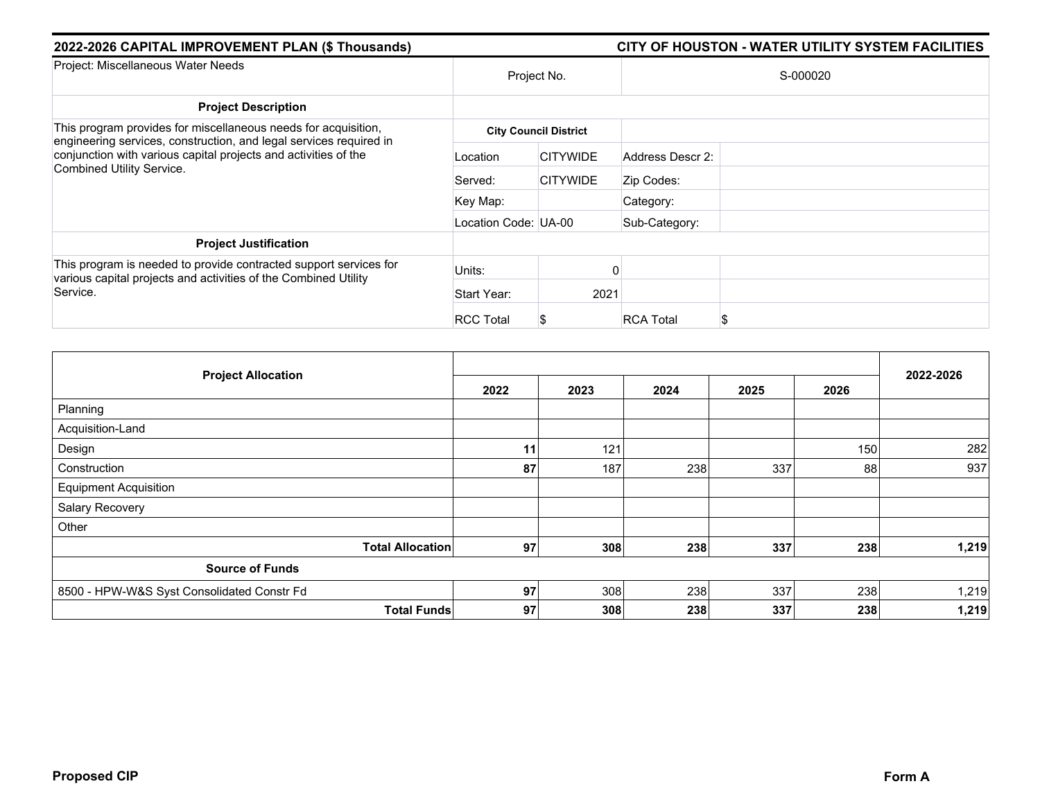| 2022-2026 CAPITAL IMPROVEMENT PLAN (\$ Thousands)                                                                                                                                                                                    |                      |                              |                  | CITY OF HOUSTON - WATER UTILITY SYSTEM FACILITIES |  |
|--------------------------------------------------------------------------------------------------------------------------------------------------------------------------------------------------------------------------------------|----------------------|------------------------------|------------------|---------------------------------------------------|--|
| Project: Miscellaneous Water Needs                                                                                                                                                                                                   | Project No.          |                              | S-000020         |                                                   |  |
| <b>Project Description</b>                                                                                                                                                                                                           |                      |                              |                  |                                                   |  |
| This program provides for miscellaneous needs for acquisition,<br>engineering services, construction, and legal services required in<br>conjunction with various capital projects and activities of the<br>Combined Utility Service. |                      | <b>City Council District</b> |                  |                                                   |  |
|                                                                                                                                                                                                                                      | Location             | <b>CITYWIDE</b>              | Address Descr 2: |                                                   |  |
|                                                                                                                                                                                                                                      | Served:              | <b>CITYWIDE</b>              | Zip Codes:       |                                                   |  |
|                                                                                                                                                                                                                                      | Key Map:             |                              | Category:        |                                                   |  |
|                                                                                                                                                                                                                                      | Location Code: UA-00 |                              | Sub-Category:    |                                                   |  |
| <b>Project Justification</b>                                                                                                                                                                                                         |                      |                              |                  |                                                   |  |
| This program is needed to provide contracted support services for                                                                                                                                                                    | Units:               |                              |                  |                                                   |  |
| various capital projects and activities of the Combined Utility<br>Service.                                                                                                                                                          | Start Year:          | 2021                         |                  |                                                   |  |
|                                                                                                                                                                                                                                      | <b>RCC Total</b>     |                              | <b>RCA Total</b> |                                                   |  |

|                                            |      |      |      |      |      | 2022-2026 |
|--------------------------------------------|------|------|------|------|------|-----------|
| <b>Project Allocation</b>                  | 2022 | 2023 | 2024 | 2025 | 2026 |           |
| Planning                                   |      |      |      |      |      |           |
| Acquisition-Land                           |      |      |      |      |      |           |
| Design                                     | 11   | 121  |      |      | 150  | 282       |
| Construction                               | 87   | 187  | 238  | 337  | 88   | 937       |
| <b>Equipment Acquisition</b>               |      |      |      |      |      |           |
| Salary Recovery                            |      |      |      |      |      |           |
| Other                                      |      |      |      |      |      |           |
| <b>Total Allocation</b>                    | 97   | 308  | 238  | 337  | 238  | 1,219     |
| <b>Source of Funds</b>                     |      |      |      |      |      |           |
| 8500 - HPW-W&S Syst Consolidated Constr Fd | 97   | 308  | 238  | 337  | 238  | 1,219     |
| <b>Total Funds</b>                         | 97   | 308  | 238  | 337  | 238  | 1,219     |

Some projects in this section are related to the impact of Hurricane Harvey DR4332 and it is the City's intent to seek reimbursement from the Federal Emergency Management Agency (FEMA) and any other eligible sources for such expenditures, with the FEMA share being 90% of eligible costs.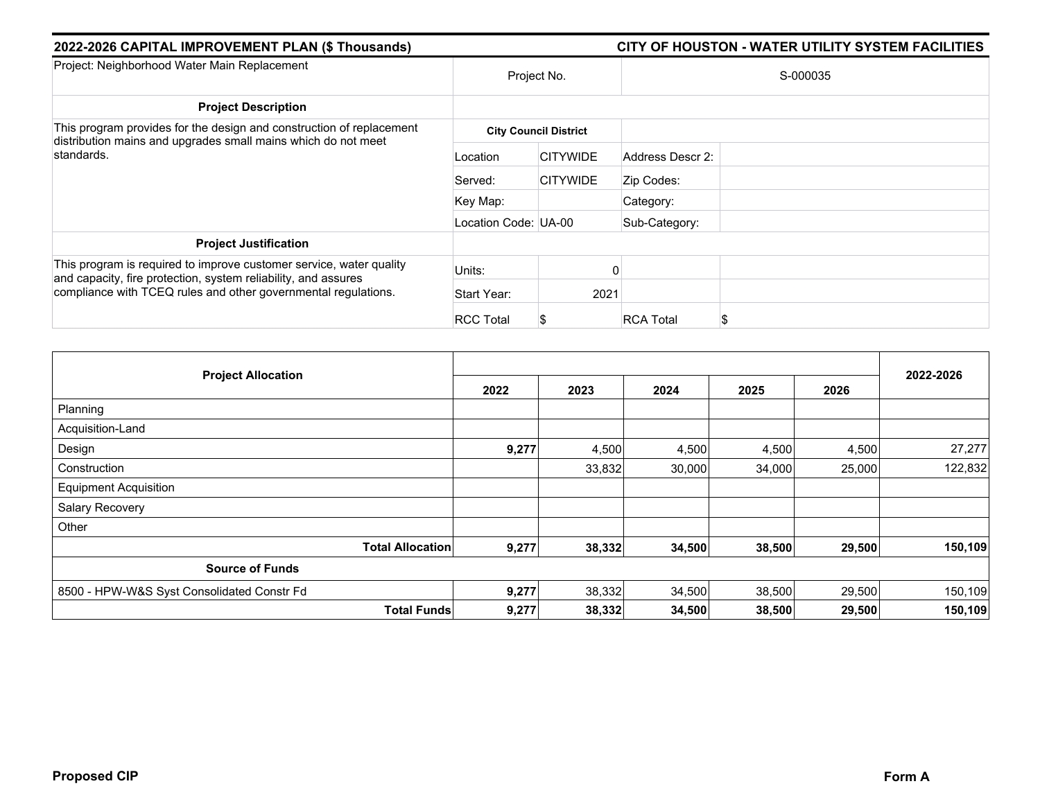| 2022-2026 CAPITAL IMPROVEMENT PLAN (\$ Thousands)                                                                                |                      |                              | CITY OF HOUSTON - WATER UTILITY SYSTEM FACILITIES |
|----------------------------------------------------------------------------------------------------------------------------------|----------------------|------------------------------|---------------------------------------------------|
| Project: Neighborhood Water Main Replacement                                                                                     | Project No.          |                              | S-000035                                          |
| <b>Project Description</b>                                                                                                       |                      |                              |                                                   |
| This program provides for the design and construction of replacement                                                             |                      | <b>City Council District</b> |                                                   |
| distribution mains and upgrades small mains which do not meet<br>standards.                                                      | Location             | <b>CITYWIDE</b>              | Address Descr 2:                                  |
|                                                                                                                                  | Served:              | <b>CITYWIDE</b>              | Zip Codes:                                        |
|                                                                                                                                  | Key Map:             |                              | Category:                                         |
|                                                                                                                                  | Location Code: UA-00 |                              | Sub-Category:                                     |
| <b>Project Justification</b>                                                                                                     |                      |                              |                                                   |
| This program is required to improve customer service, water quality                                                              | Units:               |                              |                                                   |
| and capacity, fire protection, system reliability, and assures<br>compliance with TCEQ rules and other governmental regulations. | Start Year:          | 2021                         |                                                   |
|                                                                                                                                  | <b>RCC Total</b>     | S                            | <b>RCA Total</b><br>S                             |

| <b>Project Allocation</b>                  |                         |       |        |        |        |        | 2022-2026 |
|--------------------------------------------|-------------------------|-------|--------|--------|--------|--------|-----------|
|                                            |                         | 2022  | 2023   | 2024   | 2025   | 2026   |           |
| Planning                                   |                         |       |        |        |        |        |           |
| Acquisition-Land                           |                         |       |        |        |        |        |           |
| Design                                     |                         | 9,277 | 4,500  | 4,500  | 4,500  | 4,500  | 27,277    |
| Construction                               |                         |       | 33,832 | 30,000 | 34,000 | 25,000 | 122,832   |
| <b>Equipment Acquisition</b>               |                         |       |        |        |        |        |           |
| Salary Recovery                            |                         |       |        |        |        |        |           |
| Other                                      |                         |       |        |        |        |        |           |
|                                            | <b>Total Allocation</b> | 9,277 | 38,332 | 34,500 | 38,500 | 29,500 | 150,109   |
| <b>Source of Funds</b>                     |                         |       |        |        |        |        |           |
| 8500 - HPW-W&S Syst Consolidated Constr Fd |                         | 9,277 | 38,332 | 34,500 | 38,500 | 29,500 | 150,109   |
|                                            | <b>Total Funds</b>      | 9,277 | 38,332 | 34,500 | 38,500 | 29,500 | 150,109   |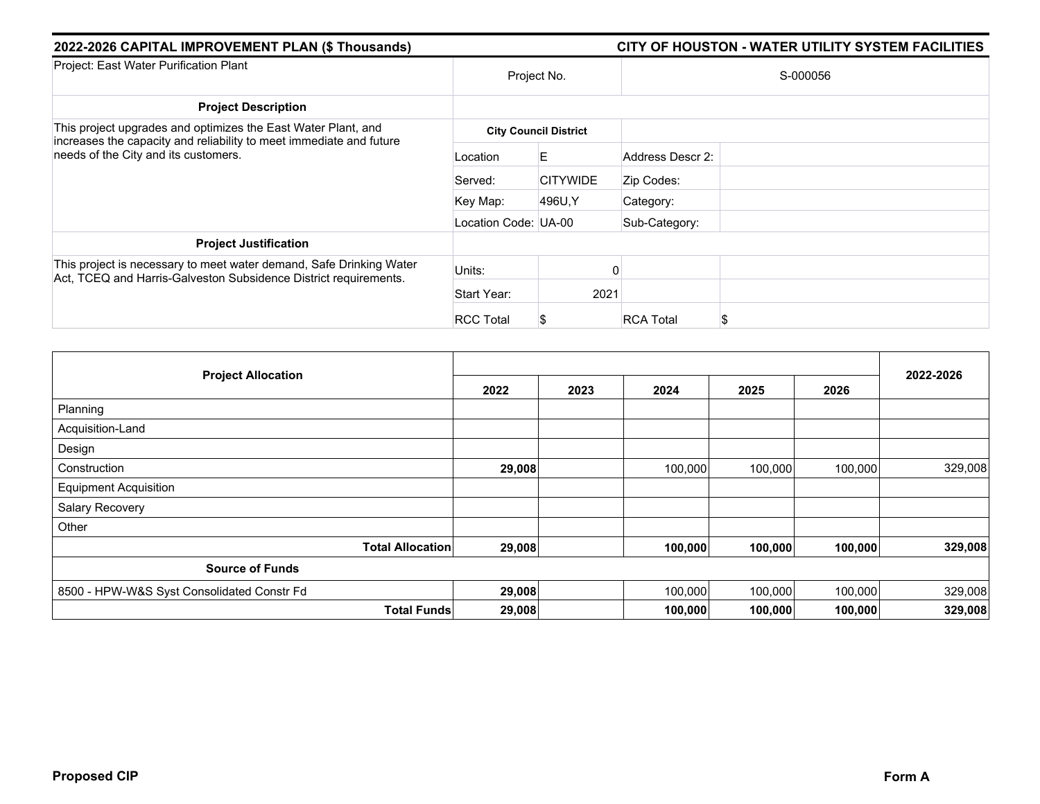| 2022-2026 CAPITAL IMPROVEMENT PLAN (\$ Thousands)                                                                                                                            |                      |                              |                  | CITY OF HOUSTON - WATER UTILITY SYSTEM FACILITIES |  |
|------------------------------------------------------------------------------------------------------------------------------------------------------------------------------|----------------------|------------------------------|------------------|---------------------------------------------------|--|
| Project: East Water Purification Plant                                                                                                                                       | Project No.          |                              | S-000056         |                                                   |  |
| <b>Project Description</b>                                                                                                                                                   |                      |                              |                  |                                                   |  |
| This project upgrades and optimizes the East Water Plant, and<br>increases the capacity and reliability to meet immediate and future<br>needs of the City and its customers. |                      | <b>City Council District</b> |                  |                                                   |  |
|                                                                                                                                                                              | Location             | E                            | Address Descr 2: |                                                   |  |
|                                                                                                                                                                              | Served:              | <b>CITYWIDE</b>              | Zip Codes:       |                                                   |  |
|                                                                                                                                                                              | Key Map:             | 496U.Y                       | Category:        |                                                   |  |
|                                                                                                                                                                              | Location Code: UA-00 |                              | Sub-Category:    |                                                   |  |
| <b>Project Justification</b>                                                                                                                                                 |                      |                              |                  |                                                   |  |
| This project is necessary to meet water demand, Safe Drinking Water                                                                                                          | Units:               |                              |                  |                                                   |  |
| Act, TCEQ and Harris-Galveston Subsidence District requirements.                                                                                                             | Start Year:          | 2021                         |                  |                                                   |  |
|                                                                                                                                                                              | <b>RCC Total</b>     | S                            | <b>RCA Total</b> |                                                   |  |

| <b>Project Allocation</b>                  | 2022   | 2023 | 2024    | 2025    | 2026    | 2022-2026 |
|--------------------------------------------|--------|------|---------|---------|---------|-----------|
| Planning                                   |        |      |         |         |         |           |
| Acquisition-Land                           |        |      |         |         |         |           |
| Design                                     |        |      |         |         |         |           |
| Construction                               | 29,008 |      | 100,000 | 100,000 | 100,000 | 329,008   |
| <b>Equipment Acquisition</b>               |        |      |         |         |         |           |
| Salary Recovery                            |        |      |         |         |         |           |
| Other                                      |        |      |         |         |         |           |
| <b>Total Allocation</b>                    | 29,008 |      | 100,000 | 100,000 | 100,000 | 329,008   |
| <b>Source of Funds</b>                     |        |      |         |         |         |           |
| 8500 - HPW-W&S Syst Consolidated Constr Fd | 29,008 |      | 100,000 | 100,000 | 100,000 | 329,008   |
| <b>Total Funds</b>                         | 29,008 |      | 100,000 | 100,000 | 100,000 | 329,008   |

Some projects in this section are related to the impact of Hurricane Harvey DR4332 and it is the City's intent to seek reimbursement from the Federal Emergency Management Agency (FEMA) and any other eligible sources for such expenditures, with the FEMA share being 90% of eligible costs.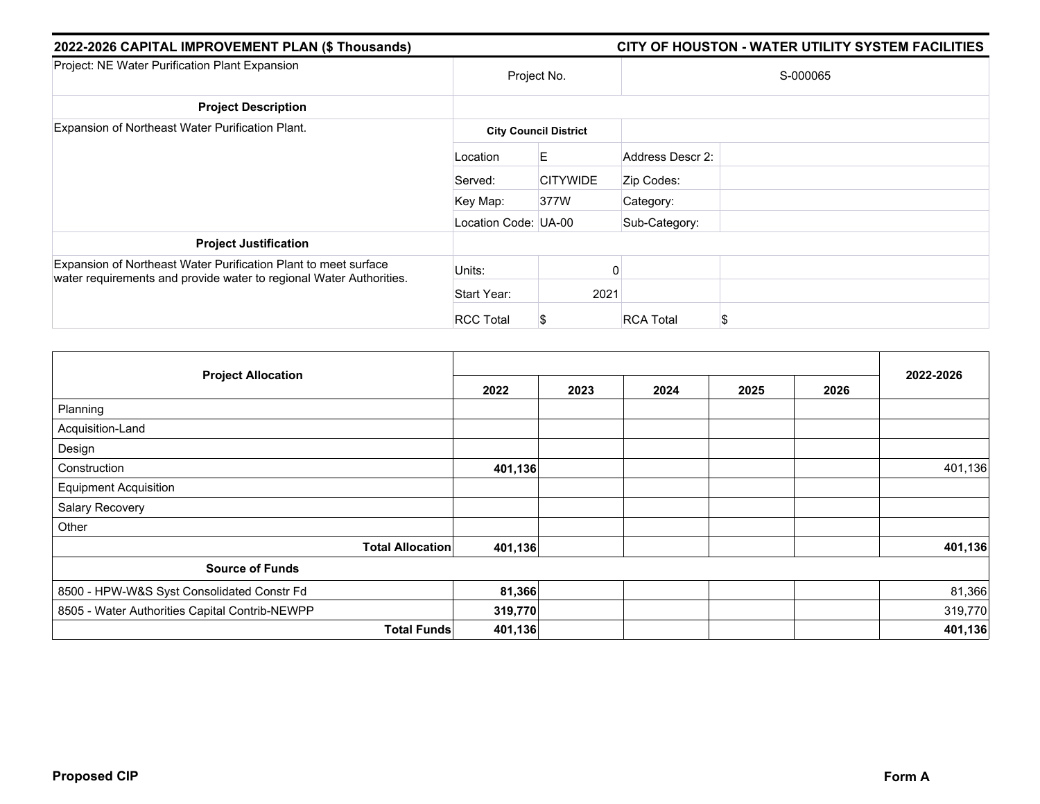| 2022-2026 CAPITAL IMPROVEMENT PLAN (\$ Thousands)                                                                                      |                      |                              | CITY OF HOUSTON - WATER UTILITY SYSTEM FACILITIES |  |
|----------------------------------------------------------------------------------------------------------------------------------------|----------------------|------------------------------|---------------------------------------------------|--|
| Project: NE Water Purification Plant Expansion                                                                                         |                      | Project No.                  | S-000065                                          |  |
| <b>Project Description</b>                                                                                                             |                      |                              |                                                   |  |
| Expansion of Northeast Water Purification Plant.                                                                                       |                      | <b>City Council District</b> |                                                   |  |
|                                                                                                                                        | Location             | E                            | Address Descr 2:                                  |  |
|                                                                                                                                        | Served:              | <b>CITYWIDE</b>              | Zip Codes:                                        |  |
|                                                                                                                                        | Key Map:             | 377W                         | Category:                                         |  |
|                                                                                                                                        | Location Code: UA-00 |                              | Sub-Category:                                     |  |
| <b>Project Justification</b>                                                                                                           |                      |                              |                                                   |  |
| Expansion of Northeast Water Purification Plant to meet surface<br>water requirements and provide water to regional Water Authorities. | Units:               |                              |                                                   |  |
|                                                                                                                                        | Start Year:          | 2021                         |                                                   |  |
|                                                                                                                                        | <b>RCC Total</b>     | S                            | <b>RCA Total</b><br>\$                            |  |

| <b>Project Allocation</b>                      | 2022    | 2023 | 2024 | 2025 | 2026 | 2022-2026 |
|------------------------------------------------|---------|------|------|------|------|-----------|
| Planning                                       |         |      |      |      |      |           |
| Acquisition-Land                               |         |      |      |      |      |           |
| Design                                         |         |      |      |      |      |           |
| Construction                                   | 401,136 |      |      |      |      | 401,136   |
| <b>Equipment Acquisition</b>                   |         |      |      |      |      |           |
| Salary Recovery                                |         |      |      |      |      |           |
| Other                                          |         |      |      |      |      |           |
| <b>Total Allocation</b>                        | 401,136 |      |      |      |      | 401,136   |
| <b>Source of Funds</b>                         |         |      |      |      |      |           |
| 8500 - HPW-W&S Syst Consolidated Constr Fd     | 81,366  |      |      |      |      | 81,366    |
| 8505 - Water Authorities Capital Contrib-NEWPP | 319,770 |      |      |      |      | 319,770   |
| <b>Total Funds</b>                             | 401,136 |      |      |      |      | 401,136   |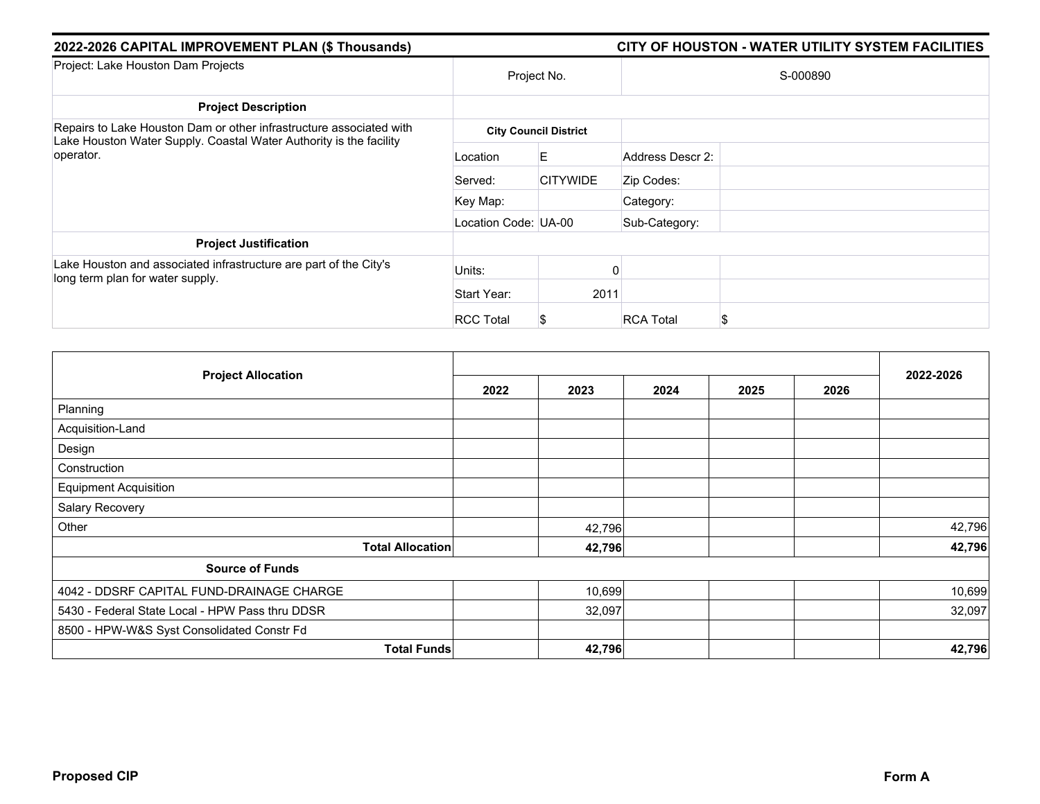| 2022-2026 CAPITAL IMPROVEMENT PLAN (\$ Thousands)                                                                                                                            |                      |                              |                  | CITY OF HOUSTON - WATER UTILITY SYSTEM FACILITIES |  |
|------------------------------------------------------------------------------------------------------------------------------------------------------------------------------|----------------------|------------------------------|------------------|---------------------------------------------------|--|
| Project: East Water Purification Plant                                                                                                                                       | Project No.          |                              | S-000056         |                                                   |  |
| <b>Project Description</b>                                                                                                                                                   |                      |                              |                  |                                                   |  |
| This project upgrades and optimizes the East Water Plant, and<br>increases the capacity and reliability to meet immediate and future<br>needs of the City and its customers. |                      | <b>City Council District</b> |                  |                                                   |  |
|                                                                                                                                                                              | Location             | E                            | Address Descr 2: |                                                   |  |
|                                                                                                                                                                              | Served:              | <b>CITYWIDE</b>              | Zip Codes:       |                                                   |  |
|                                                                                                                                                                              | Key Map:             | 496U.Y                       | Category:        |                                                   |  |
|                                                                                                                                                                              | Location Code: UA-00 |                              | Sub-Category:    |                                                   |  |
| <b>Project Justification</b>                                                                                                                                                 |                      |                              |                  |                                                   |  |
| This project is necessary to meet water demand, Safe Drinking Water                                                                                                          | Units:               |                              |                  |                                                   |  |
| Act, TCEQ and Harris-Galveston Subsidence District requirements.                                                                                                             | Start Year:          | 2021                         |                  |                                                   |  |
|                                                                                                                                                                              | <b>RCC Total</b>     | S                            | <b>RCA Total</b> |                                                   |  |

|                                            |        | 2022-2026 |         |         |         |         |  |
|--------------------------------------------|--------|-----------|---------|---------|---------|---------|--|
| <b>Project Allocation</b>                  | 2022   | 2023      | 2024    | 2025    | 2026    |         |  |
| Planning                                   |        |           |         |         |         |         |  |
| Acquisition-Land                           |        |           |         |         |         |         |  |
| Design                                     |        |           |         |         |         |         |  |
| Construction                               | 29,008 |           | 100,000 | 100,000 | 100,000 | 329,008 |  |
| <b>Equipment Acquisition</b>               |        |           |         |         |         |         |  |
| Salary Recovery                            |        |           |         |         |         |         |  |
| Other                                      |        |           |         |         |         |         |  |
| <b>Total Allocation</b>                    | 29,008 |           | 100,000 | 100,000 | 100,000 | 329,008 |  |
| <b>Source of Funds</b>                     |        |           |         |         |         |         |  |
| 8500 - HPW-W&S Syst Consolidated Constr Fd | 29,008 |           | 100,000 | 100,000 | 100,000 | 329,008 |  |
| <b>Total Funds</b>                         | 29,008 |           | 100,000 | 100,000 | 100,000 | 329,008 |  |

Some projects in this section are related to the impact of Hurricane Harvey DR4332 and it is the City's intent to seek reimbursement from the Federal Emergency Management  $-A$ gency (FEMA) and any other eligible sources for such expenditures, with the FEMA share being 90% of eligible costs.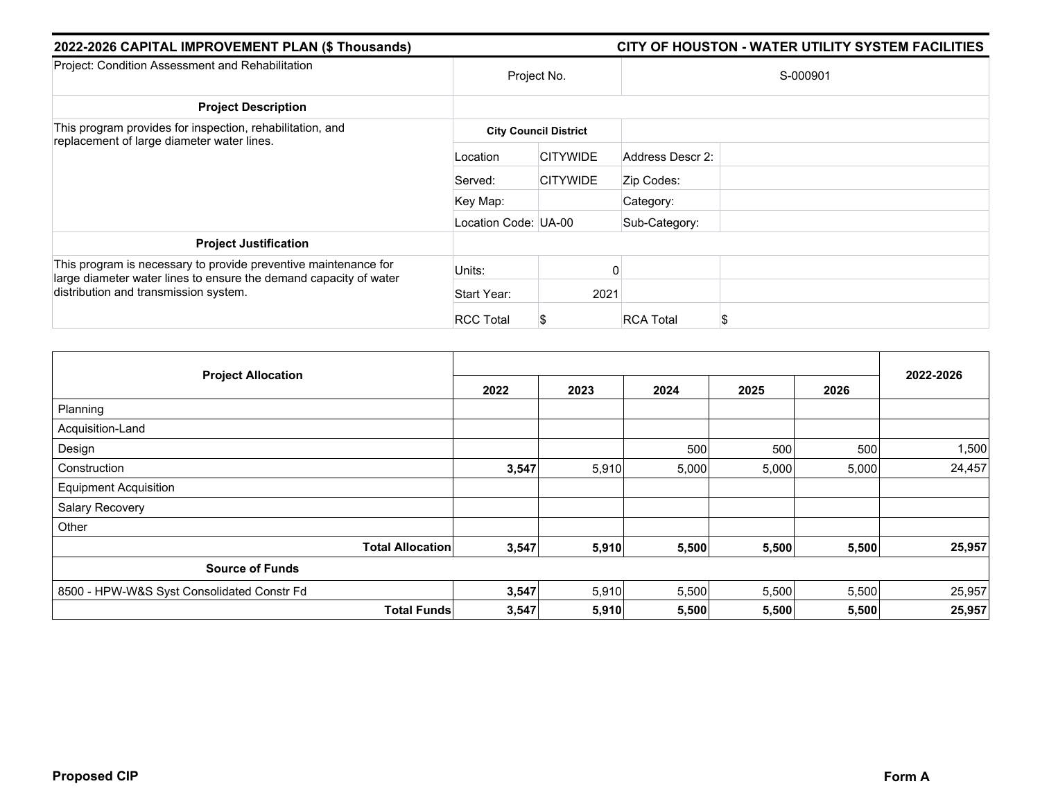| 2022-2026 CAPITAL IMPROVEMENT PLAN (\$ Thousands)                                                                                                                                                                                    |                      |                              |                  | CITY OF HOUSTON - WATER UTILITY SYSTEM FACILITIES |  |  |
|--------------------------------------------------------------------------------------------------------------------------------------------------------------------------------------------------------------------------------------|----------------------|------------------------------|------------------|---------------------------------------------------|--|--|
| Project: Miscellaneous Water Needs                                                                                                                                                                                                   | Project No.          |                              | S-000020         |                                                   |  |  |
| <b>Project Description</b>                                                                                                                                                                                                           |                      |                              |                  |                                                   |  |  |
| This program provides for miscellaneous needs for acquisition,<br>engineering services, construction, and legal services required in<br>conjunction with various capital projects and activities of the<br>Combined Utility Service. |                      | <b>City Council District</b> |                  |                                                   |  |  |
|                                                                                                                                                                                                                                      | Location             | <b>CITYWIDE</b>              | Address Descr 2: |                                                   |  |  |
|                                                                                                                                                                                                                                      | Served:              | <b>CITYWIDE</b>              | Zip Codes:       |                                                   |  |  |
|                                                                                                                                                                                                                                      | Key Map:             |                              | Category:        |                                                   |  |  |
|                                                                                                                                                                                                                                      | Location Code: UA-00 |                              | Sub-Category:    |                                                   |  |  |
| <b>Project Justification</b>                                                                                                                                                                                                         |                      |                              |                  |                                                   |  |  |
| This program is needed to provide contracted support services for<br>various capital projects and activities of the Combined Utility<br>Service.                                                                                     | Units:               |                              |                  |                                                   |  |  |
|                                                                                                                                                                                                                                      | Start Year:          | 2021                         |                  |                                                   |  |  |
|                                                                                                                                                                                                                                      | <b>RCC Total</b>     |                              | <b>RCA Total</b> |                                                   |  |  |

|                                            |                 | 2022-2026 |      |      |      |       |
|--------------------------------------------|-----------------|-----------|------|------|------|-------|
| <b>Project Allocation</b>                  | 2022            | 2023      | 2024 | 2025 | 2026 |       |
| Planning                                   |                 |           |      |      |      |       |
| Acquisition-Land                           |                 |           |      |      |      |       |
| Design                                     | 11 <sub>1</sub> | 121       |      |      | 150  | 282   |
| Construction                               | 87              | 187       | 238  | 337  | 88   | 937   |
| <b>Equipment Acquisition</b>               |                 |           |      |      |      |       |
| Salary Recovery                            |                 |           |      |      |      |       |
| Other                                      |                 |           |      |      |      |       |
| <b>Total Allocation</b>                    | 97              | 308       | 238  | 337  | 238  | 1,219 |
| <b>Source of Funds</b>                     |                 |           |      |      |      |       |
| 8500 - HPW-W&S Syst Consolidated Constr Fd | 97              | 308       | 238  | 337  | 238  | 1,219 |
| <b>Total Funds</b>                         | 97              | 308       | 238  | 337  | 238  | 1,219 |

Some projects in this section are related to the impact of Hurricane Harvey DR4332 and it is the City's intent to seek reimbursement from the Federal Emergency Management Agency (FEMA) and any other eligible sources for su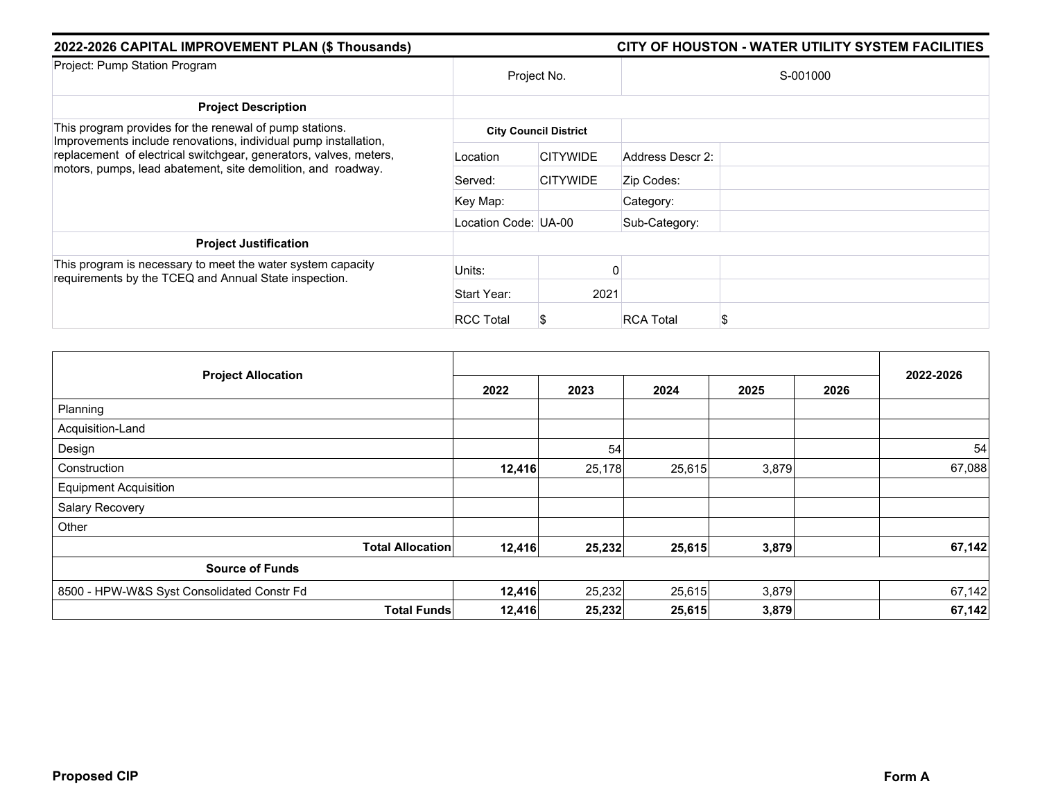| 2022-2026 CAPITAL IMPROVEMENT PLAN (\$ Thousands)                                                                                                                       | CITY OF HOUSTON - WATER UTILITY SYSTEM FACILITIES |                              |                       |  |  |  |
|-------------------------------------------------------------------------------------------------------------------------------------------------------------------------|---------------------------------------------------|------------------------------|-----------------------|--|--|--|
| Project: Emergency Needs for Water Utility                                                                                                                              | Project No.                                       |                              | S-000019              |  |  |  |
| <b>Project Description</b>                                                                                                                                              |                                                   |                              |                       |  |  |  |
| This program provides for unforeseen emergency needs for engineering<br>services, construction, and equipment for facility and water line<br>failure of Public Utility. |                                                   | <b>City Council District</b> |                       |  |  |  |
|                                                                                                                                                                         | Location                                          | <b>CITYWIDE</b>              | Address Descr 2:      |  |  |  |
|                                                                                                                                                                         | Served:                                           | <b>CITYWIDE</b>              | Zip Codes:            |  |  |  |
|                                                                                                                                                                         | Key Map:                                          |                              | Category:             |  |  |  |
|                                                                                                                                                                         | Location Code: UA-00                              |                              | Sub-Category:         |  |  |  |
| <b>Project Justification</b>                                                                                                                                            |                                                   |                              |                       |  |  |  |
| This program is needed to provide public health and safety, and to<br>ensure regulatory compliance.                                                                     | Units:                                            |                              | O                     |  |  |  |
|                                                                                                                                                                         | Start Year:                                       | 2021                         |                       |  |  |  |
|                                                                                                                                                                         | <b>RCC Total</b>                                  | Ъ                            | <b>RCA Total</b><br>S |  |  |  |

| <b>Project Allocation</b>                  | 2022 | 2023 | 2024 | 2025 | 2026 | 2022-2026 |
|--------------------------------------------|------|------|------|------|------|-----------|
| Planning                                   |      |      |      |      |      |           |
| Acquisition-Land                           |      |      |      |      |      |           |
| Design                                     |      |      |      |      |      |           |
| Construction                               |      |      |      |      |      |           |
| <b>Equipment Acquisition</b>               |      |      |      |      |      |           |
| Salary Recovery                            |      |      |      |      |      |           |
| Other                                      | 541  | 552  | 550  | 550  | 550  | 2,743     |
| <b>Total Allocation</b>                    | 541  | 552  | 550  | 550  | 550  | 2,743     |
| <b>Source of Funds</b>                     |      |      |      |      |      |           |
| 8500 - HPW-W&S Syst Consolidated Constr Fd | 541  | 552  | 550  | 550  | 550  | 2,743     |
| <b>Total Funds</b>                         | 541  | 552  | 550  | 550  | 550  | 2,743     |

Some projects in this section are related to the impact of Hurricane Harvey DR4332 and it is the City's intent to seek reimbursement from the Federal Emerge<br>Agency (FEMA) and any other eligible sources for such expenditure <del>lanageme</del>